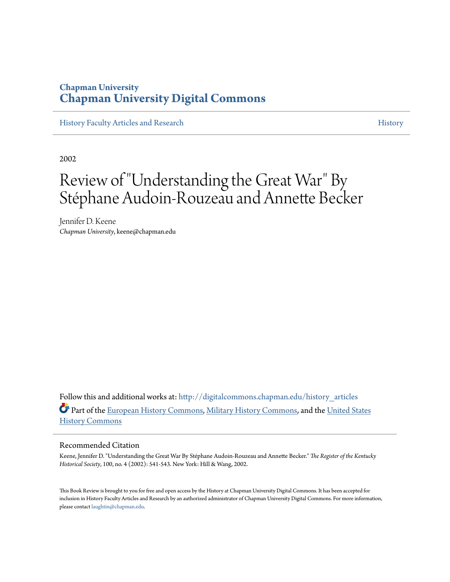### **Chapman University [Chapman University Digital Commons](http://digitalcommons.chapman.edu?utm_source=digitalcommons.chapman.edu%2Fhistory_articles%2F24&utm_medium=PDF&utm_campaign=PDFCoverPages)**

[History Faculty Articles and Research](http://digitalcommons.chapman.edu/history_articles?utm_source=digitalcommons.chapman.edu%2Fhistory_articles%2F24&utm_medium=PDF&utm_campaign=PDFCoverPages) [History](http://digitalcommons.chapman.edu/history?utm_source=digitalcommons.chapman.edu%2Fhistory_articles%2F24&utm_medium=PDF&utm_campaign=PDFCoverPages) History

2002

# Review of "Understanding the Great War" By Stéphane Audoin-Rouzeau and Annette Becker

Jennifer D. Keene *Chapman University*, keene@chapman.edu

Follow this and additional works at: [http://digitalcommons.chapman.edu/history\\_articles](http://digitalcommons.chapman.edu/history_articles?utm_source=digitalcommons.chapman.edu%2Fhistory_articles%2F24&utm_medium=PDF&utm_campaign=PDFCoverPages) Part of the [European History Commons](http://network.bepress.com/hgg/discipline/492?utm_source=digitalcommons.chapman.edu%2Fhistory_articles%2F24&utm_medium=PDF&utm_campaign=PDFCoverPages), [Military History Commons](http://network.bepress.com/hgg/discipline/504?utm_source=digitalcommons.chapman.edu%2Fhistory_articles%2F24&utm_medium=PDF&utm_campaign=PDFCoverPages), and the [United States](http://network.bepress.com/hgg/discipline/495?utm_source=digitalcommons.chapman.edu%2Fhistory_articles%2F24&utm_medium=PDF&utm_campaign=PDFCoverPages) [History Commons](http://network.bepress.com/hgg/discipline/495?utm_source=digitalcommons.chapman.edu%2Fhistory_articles%2F24&utm_medium=PDF&utm_campaign=PDFCoverPages)

### Recommended Citation

Keene, Jennifer D. "Understanding the Great War By Stéphane Audoin-Rouzeau and Annette Becker." *The Register of the Kentucky Historical Society*, 100, no. 4 (2002): 541-543. New York: Hill & Wang, 2002.

This Book Review is brought to you for free and open access by the History at Chapman University Digital Commons. It has been accepted for inclusion in History Faculty Articles and Research by an authorized administrator of Chapman University Digital Commons. For more information, please contact [laughtin@chapman.edu.](mailto:laughtin@chapman.edu)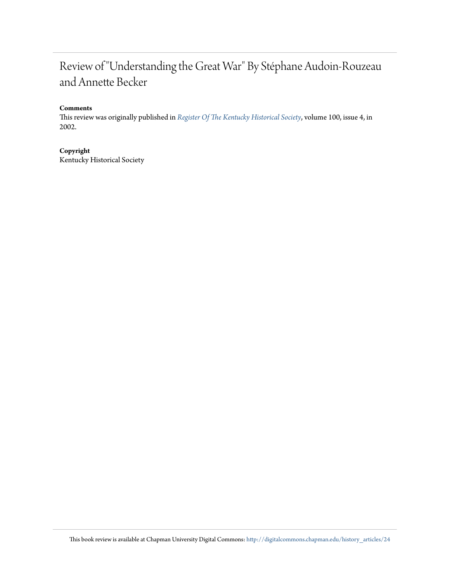## Review of "Understanding the Great War" By Stéphane Audoin-Rouzeau and Annette Becker

### **Comments**

This review was originally published in *[Register Of The Kentucky Historical Society](http://history.ky.gov/the-register-of-the-kentucky-historical-society/)*, volume 100, issue 4, in 2002.

### **Copyright**

Kentucky Historical Society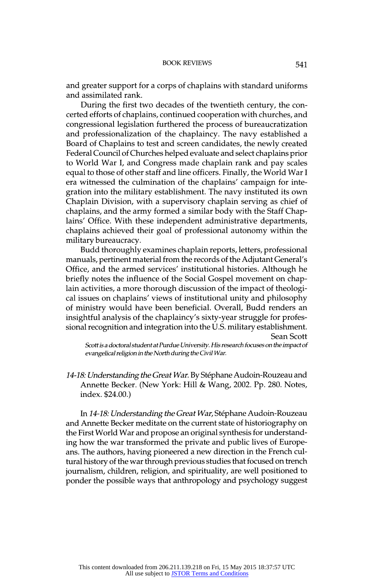14-18: Understanding the Great War. By Stéphane Audoin-Rouzeau and Annette Becker. (New York: Hill & Wang, 2002. Pp. 280. Notes, index. \$24.00.)

In 14-18: Understanding the Great War, Stéphane Audoin-Rouzeau and Annette Becker meditate on the current state of historiography on the First World War and propose an original synthesis for understand ing how the war transformed the private and public lives of Europe ans. The authors, having pioneered a new direction in the French cul tural history of the war through previous studies that focused on trench journalism, children, religion, and spirituality, are well positioned to ponder the possible ways that anthropology and psychology suggest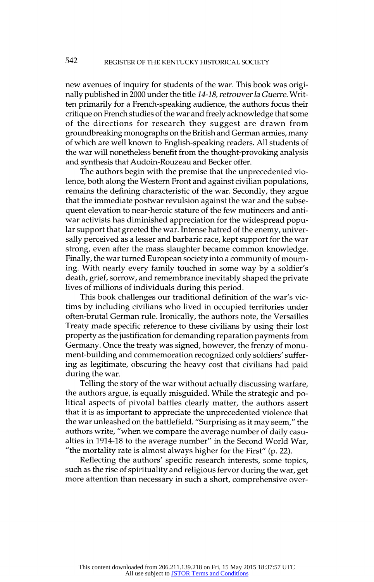new avenues of inquiry for students of the war. This book was origi nally published in 2000 under the title 14-18, retrouver la Guerre. Writ ten primarily for a French-speaking audience, the authors focus their critique on French studies of the war and freely acknowledge that some of the directions for research they suggest are drawn from groundbreaking monographs on the British and German armies, many of which are well known to English-speaking readers. All students of the war will nonetheless benefit from the thought-provoking analysis and synthesis that Audoin-Rouzeau and Becker offer.

The authors begin with the premise that the unprecedented vio lence, both along the Western Front and against civilian populations, remains the defining characteristic of the war. Secondly, they argue that the immediate postwar revulsion against the war and the subse quent elevation to near-heroic stature of the few mutineers and anti war activists has diminished appreciation for the widespread popu lar support that greeted the war. Intense hatred of the enemy, univer sally perceived as a lesser and barbaric race, kept support for the war strong, even after the mass slaughter became common knowledge. Finally, the war turned European society into a community of mourn ing. With nearly every family touched in some way by a soldier's death, grief, sorrow, and remembrance inevitably shaped the private lives of millions of individuals during this period.

This book challenges our traditional definition of the war's vic tims by including civilians who lived in occupied territories under often-brutal German rule. Ironically, the authors note, the Versailles Treaty made specific reference to these civilians by using their lost property as the justification for demanding reparation payments from Germany. Once the treaty was signed, however, the frenzy of monu ment-building and commemoration recognized only soldiers' suffer ing as legitimate, obscuring the heavy cost that civilians had paid during the war.

Telling the story of the war without actually discussing warfare, the authors argue, is equally misguided. While the strategic and po litical aspects of pivotal battles clearly matter, the authors assert that it is as important to appreciate the unprecedented violence that the war unleashed on the battlefield. "Surprising as it may seem," the authors write, "when we compare the average number of daily casu alties in 1914-18 to the average number" in the Second World War, "the mortality rate is almost always higher for the First" (p. 22).

Reflecting the authors' specific research interests, some topics, such as the rise of spirituality and religious fervor during the war, get more attention than necessary in such a short, comprehensive ove